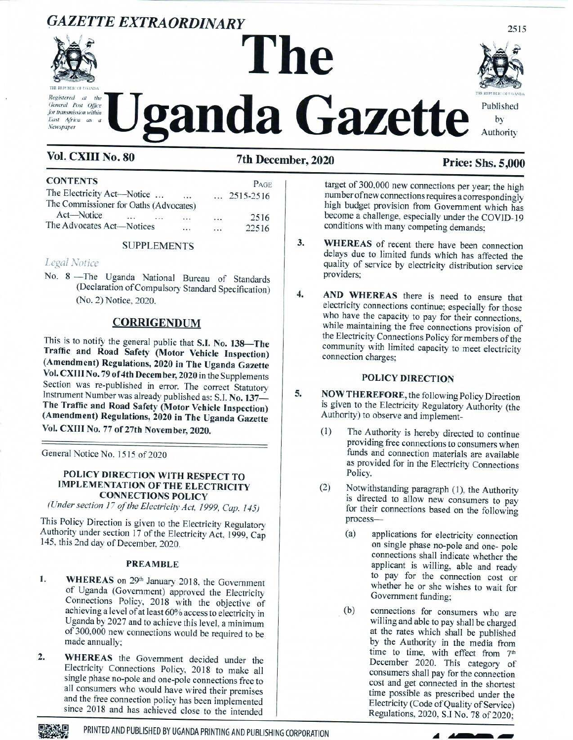# **GAZETTE EXTRAORDINARY**



Registered at  $the$ General Post Office for transmission within East Africa as a **Newspaper** 

# The ganda Gazette



# Vol. CXIII No. 80

7th December, 2020

# **Price: Shs. 5,000**

| <b>CONTENTS</b>                        |          |          |          |          | PAGE               |
|----------------------------------------|----------|----------|----------|----------|--------------------|
| The Electricity Act-Notice             |          |          | $\cdots$ |          | $\ldots$ 2515-2516 |
| The Commissioner for Oaths (Advocates) |          |          |          |          |                    |
| Act-Notice                             | $\cdots$ | $\cdots$ |          | $\cdots$ | 2516               |
| The Advocates Act-Notices              |          |          |          | $\cdots$ | 22516              |

### **SUPPLEMENTS**

# Legal Notice

No. 8 - The Uganda National Bureau of Standards (Declaration of Compulsory Standard Specification) (No. 2) Notice, 2020.

## **CORRIGENDUM**

This is to notify the general public that S.I. No. 138-The Traffic and Road Safety (Motor Vehicle Inspection) (Amendment) Regulations, 2020 in The Uganda Gazette Vol. CXIII No. 79 of 4th December, 2020 in the Supplements Section was re-published in error. The correct Statutory Instrument Number was already published as: S.I. No. 137-The Traffic and Road Safety (Motor Vehicle Inspection) (Amendment) Regulations, 2020 in The Uganda Gazette Vol. CXIII No. 77 of 27th November, 2020.

General Notice No. 1515 of 2020

#### POLICY DIRECTION WITH RESPECT TO **IMPLEMENTATION OF THE ELECTRICITY CONNECTIONS POLICY**

(Under section 17 of the Electricity Act, 1999, Cap. 145)

This Policy Direction is given to the Electricity Regulatory Authority under section 17 of the Electricity Act, 1999, Cap 145, this 2nd day of December, 2020.

#### **PREAMBLE**

- 1. WHEREAS on 29th January 2018, the Government of Uganda (Government) approved the Electricity Connections Policy, 2018 with the objective of<br>achieving a level of at least  $60\%$  access to electricity in Uganda by 2027 and to achieve this level, a minimum of 300,000 new connections would be required to be made annually;
- WHEREAS the Government decided under the  $2.$ Electricity Connections Policy, 2018 to make all single phase no-pole and one-pole connections free to all consumers who would have wired their premises and the free connection policy has been implemented since 2018 and has achieved close to the intended

target of 300,000 new connections per year; the high number of new connections requires a correspondingly high budget provision from Government which has become a challenge, especially under the COVID-19 conditions with many competing demands:

- $3.$ WHEREAS of recent there have been connection delays due to limited funds which has affected the quality of service by electricity distribution service providers:
- $\overline{4}$ . AND WHEREAS there is need to ensure that electricity connections continue; especially for those who have the capacity to pay for their connections, while maintaining the free connections provision of the Electricity Connections Policy for members of the community with limited capacity to meet electricity connection charges:

#### **POLICY DIRECTION**

- 5.
- NOW THEREFORE, the following Policy Direction is given to the Electricity Regulatory Authority (the Authority) to observe and implement-
	- The Authority is hereby directed to continue  $(1)$ providing free connections to consumers when funds and connection materials are available as provided for in the Electricity Connections Policy.
	- $(2)$ Notwithstanding paragraph (1), the Authority is directed to allow new consumers to pay for their connections based on the following process-
		- $(a)$ applications for electricity connection on single phase no-pole and one-pole connections shall indicate whether the applicant is willing, able and ready to pay for the connection cost or whether he or she wishes to wait for Government funding:
		- $(b)$ connections for consumers who are willing and able to pay shall be charged at the rates which shall be published by the Authority in the media from time to time, with effect from 7<sup>th</sup> December 2020. This category of consumers shall pay for the connection cost and get connected in the shortest time possible as prescribed under the Electricity (Code of Quality of Service) Regulations, 2020, S.I No. 78 of 2020;



PRINTED AND PUBLISHED BY UGANDA PRINTING AND PUBLISHING CORPORATION



2515